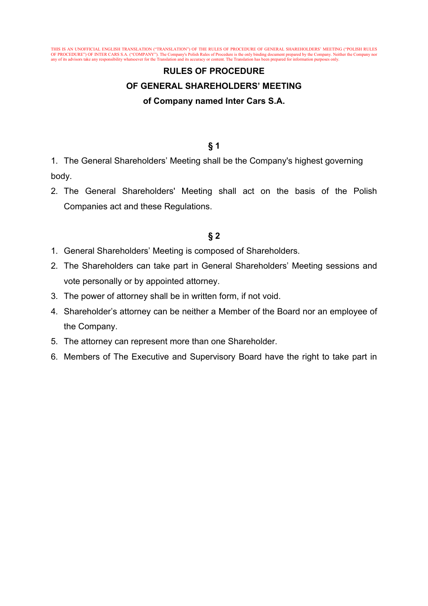THIS IS AN UNOFFICIAL ENGLISH TRANSLATION ("TRANSLATION") OF THE RULES OF PROCEDURE OF GENERAL SHAREHOLDERS' MEETING ("POLISH RULES OF PROCEDURE") OF INTER CARS S.A. ("COMPANY"). The Company's Polish Rules of Procedure is the only binding document prepared by the Company. Neither the Company nor any of its advisors take any responsibility whatsoever for the Translation and its accuracy or content. The Translation has been prepared for information purposes only.

# **RULES OF PROCEDURE OF GENERAL SHAREHOLDERS' MEETING of Company named Inter Cars S.A.**

#### **§ 1**

1. The General Shareholders' Meeting shall be the Company's highest governing body.

2. The General Shareholders' Meeting shall act on the basis of the Polish Companies act and these Regulations.

- 1. General Shareholders' Meeting is composed of Shareholders.
- 2. The Shareholders can take part in General Shareholders' Meeting sessions and vote personally or by appointed attorney.
- 3. The power of attorney shall be in written form, if not void.
- 4. Shareholder's attorney can be neither a Member of the Board nor an employee of the Company.
- 5. The attorney can represent more than one Shareholder.
- 6. Members of The Executive and Supervisory Board have the right to take part in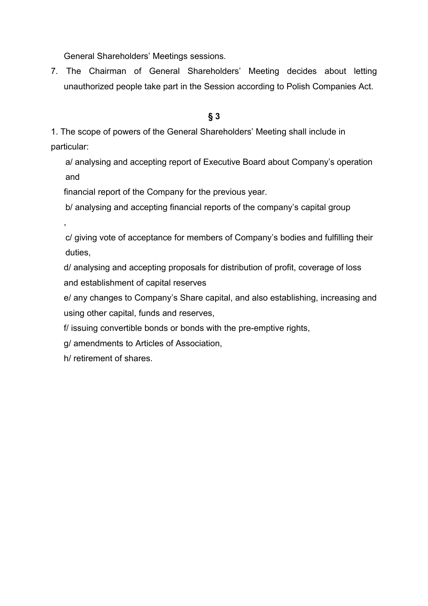General Shareholders' Meetings sessions.

7. The Chairman of General Shareholders' Meeting decides about letting unauthorized people take part in the Session according to Polish Companies Act.

## **§ 3**

1. The scope of powers of the General Shareholders' Meeting shall include in particular:

a/ analysing and accepting report of Executive Board about Company's operation and

financial report of the Company for the previous year.

b/ analysing and accepting financial reports of the company's capital group

c/ giving vote of acceptance for members of Company's bodies and fulfilling their duties,

d/ analysing and accepting proposals for distribution of profit, coverage of loss and establishment of capital reserves

e/ any changes to Company's Share capital, and also establishing, increasing and using other capital, funds and reserves,

f/ issuing convertible bonds or bonds with the pre-emptive rights,

g/ amendments to Articles of Association,

h/ retirement of shares.

,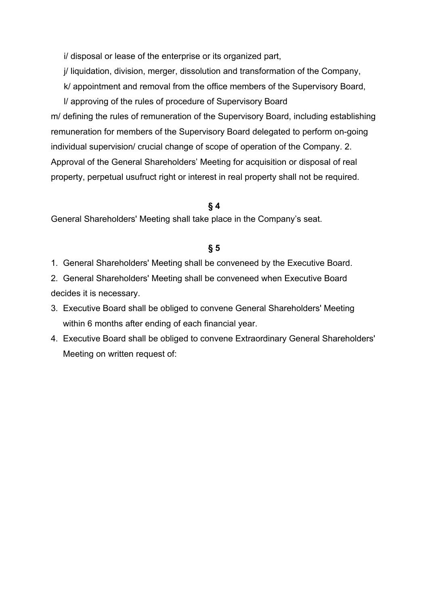i/ disposal or lease of the enterprise or its organized part,

j/ liquidation, division, merger, dissolution and transformation of the Company,

k/ appointment and removal from the office members of the Supervisory Board,

l/ approving of the rules of procedure of Supervisory Board m/ defining the rules of remuneration of the Supervisory Board, including establishing remuneration for members of the Supervisory Board delegated to perform on-going individual supervision/ crucial change of scope of operation of the Company. 2. Approval of the General Shareholders' Meeting for acquisition or disposal of real property, perpetual usufruct right or interest in real property shall not be required.

# **§ 4**

General Shareholders' Meeting shall take place in the Company's seat.

- 1. General Shareholders' Meeting shall be conveneed by the Executive Board.
- 2. General Shareholders' Meeting shall be conveneed when Executive Board decides it is necessary.
- 3. Executive Board shall be obliged to convene General Shareholders' Meeting within 6 months after ending of each financial year.
- 4. Executive Board shall be obliged to convene Extraordinary General Shareholders' Meeting on written request of: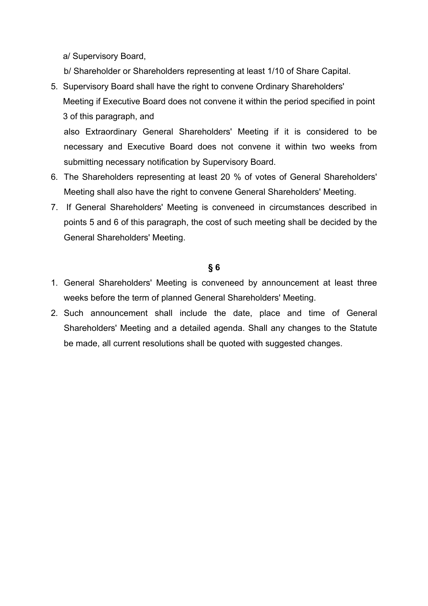a/ Supervisory Board,

- b/ Shareholder or Shareholders representing at least 1/10 of Share Capital.
- 5. Supervisory Board shall have the right to convene Ordinary Shareholders' Meeting if Executive Board does not convene it within the period specified in point 3 of this paragraph, and

also Extraordinary General Shareholders' Meeting if it is considered to be necessary and Executive Board does not convene it within two weeks from submitting necessary notification by Supervisory Board.

- 6. The Shareholders representing at least 20 % of votes of General Shareholders' Meeting shall also have the right to convene General Shareholders' Meeting.
- 7. If General Shareholders' Meeting is conveneed in circumstances described in points 5 and 6 of this paragraph, the cost of such meeting shall be decided by the General Shareholders' Meeting.

- 1. General Shareholders' Meeting is conveneed by announcement at least three weeks before the term of planned General Shareholders' Meeting.
- 2. Such announcement shall include the date, place and time of General Shareholders' Meeting and a detailed agenda. Shall any changes to the Statute be made, all current resolutions shall be quoted with suggested changes.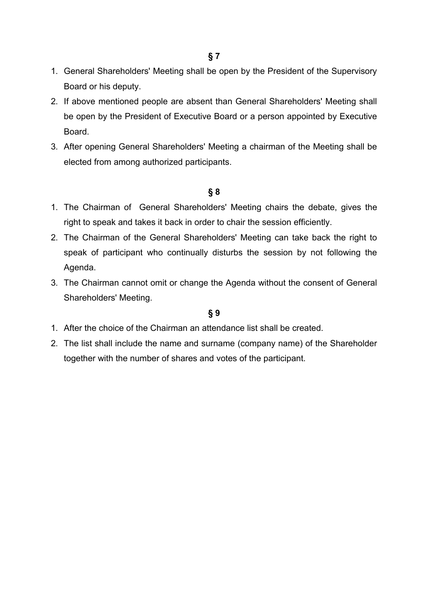**§ 7**

- 1. General Shareholders' Meeting shall be open by the President of the Supervisory Board or his deputy.
- 2. If above mentioned people are absent than General Shareholders' Meeting shall be open by the President of Executive Board or a person appointed by Executive Board.
- 3. After opening General Shareholders' Meeting a chairman of the Meeting shall be elected from among authorized participants.

## **§ 8**

- 1. The Chairman of General Shareholders' Meeting chairs the debate, gives the right to speak and takes it back in order to chair the session efficiently.
- 2. The Chairman of the General Shareholders' Meeting can take back the right to speak of participant who continually disturbs the session by not following the Agenda.
- 3. The Chairman cannot omit or change the Agenda without the consent of General Shareholders' Meeting.

- 1. After the choice of the Chairman an attendance list shall be created.
- 2. The list shall include the name and surname (company name) of the Shareholder together with the number of shares and votes of the participant.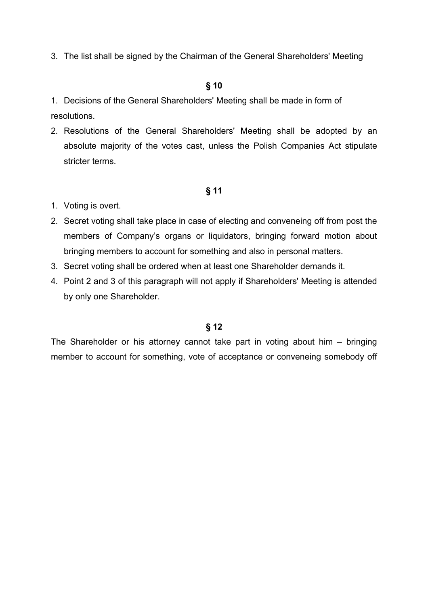3. The list shall be signed by the Chairman of the General Shareholders' Meeting

## **§ 10**

1. Decisions of the General Shareholders' Meeting shall be made in form of resolutions.

2. Resolutions of the General Shareholders' Meeting shall be adopted by an absolute majority of the votes cast, unless the Polish Companies Act stipulate stricter terms.

#### **§ 11**

- 1. Voting is overt.
- 2. Secret voting shall take place in case of electing and conveneing off from post the members of Company's organs or liquidators, bringing forward motion about bringing members to account for something and also in personal matters.
- 3. Secret voting shall be ordered when at least one Shareholder demands it.
- 4. Point 2 and 3 of this paragraph will not apply if Shareholders' Meeting is attended by only one Shareholder.

## **§ 12**

The Shareholder or his attorney cannot take part in voting about him – bringing member to account for something, vote of acceptance or conveneing somebody off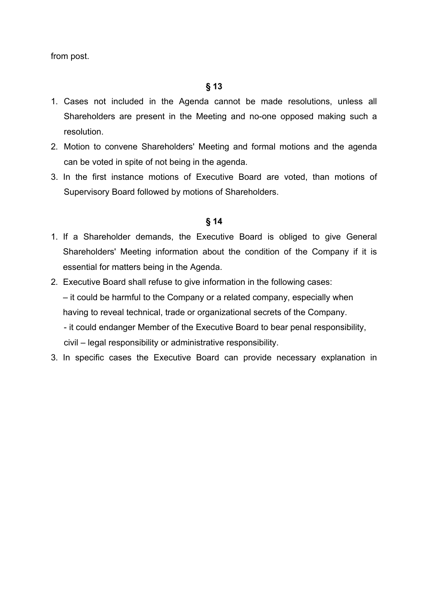from post.

- 1. Cases not included in the Agenda cannot be made resolutions, unless all Shareholders are present in the Meeting and no-one opposed making such a resolution.
- 2. Motion to convene Shareholders' Meeting and formal motions and the agenda can be voted in spite of not being in the agenda.
- 3. In the first instance motions of Executive Board are voted, than motions of Supervisory Board followed by motions of Shareholders.

- 1. If a Shareholder demands, the Executive Board is obliged to give General Shareholders' Meeting information about the condition of the Company if it is essential for matters being in the Agenda.
- 2. Executive Board shall refuse to give information in the following cases: – it could be harmful to the Company or a related company, especially when having to reveal technical, trade or organizational secrets of the Company. - it could endanger Member of the Executive Board to bear penal responsibility, civil – legal responsibility or administrative responsibility.
- 3. In specific cases the Executive Board can provide necessary explanation in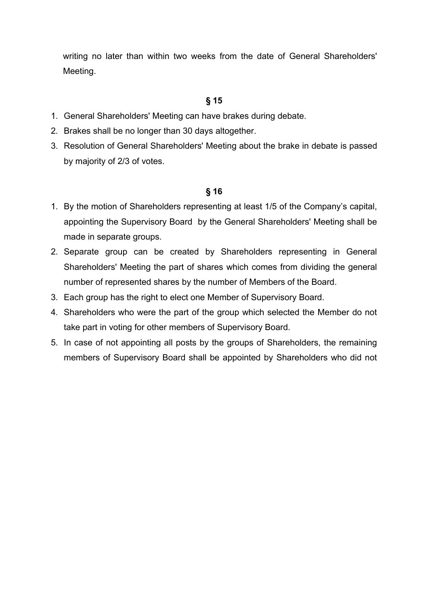writing no later than within two weeks from the date of General Shareholders' Meeting.

# **§ 15**

- 1. General Shareholders' Meeting can have brakes during debate.
- 2. Brakes shall be no longer than 30 days altogether.
- 3. Resolution of General Shareholders' Meeting about the brake in debate is passed by majority of 2/3 of votes.

- 1. By the motion of Shareholders representing at least 1/5 of the Company's capital, appointing the Supervisory Board by the General Shareholders' Meeting shall be made in separate groups.
- 2. Separate group can be created by Shareholders representing in General Shareholders' Meeting the part of shares which comes from dividing the general number of represented shares by the number of Members of the Board.
- 3. Each group has the right to elect one Member of Supervisory Board.
- 4. Shareholders who were the part of the group which selected the Member do not take part in voting for other members of Supervisory Board.
- 5. In case of not appointing all posts by the groups of Shareholders, the remaining members of Supervisory Board shall be appointed by Shareholders who did not